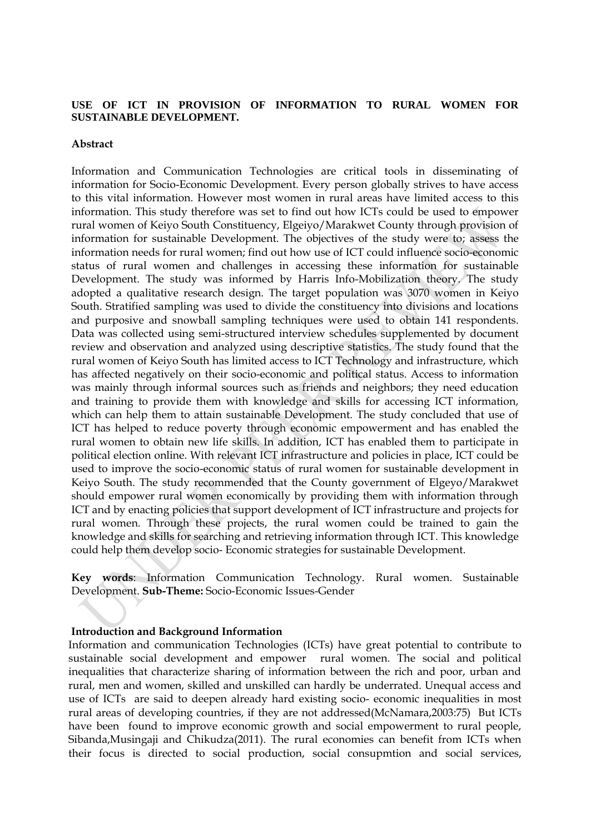# **USE OF ICT IN PROVISION OF INFORMATION TO RURAL WOMEN FOR SUSTAINABLE DEVELOPMENT.**

#### **Abstract**

Information and Communication Technologies are critical tools in disseminating of information for Socio-Economic Development. Every person globally strives to have access to this vital information. However most women in rural areas have limited access to this information. This study therefore was set to find out how ICTs could be used to empower rural women of Keiyo South Constituency, Elgeiyo/Marakwet County through provision of information for sustainable Development. The objectives of the study were to; assess the information needs for rural women; find out how use of ICT could influence socio-economic status of rural women and challenges in accessing these information for sustainable Development. The study was informed by Harris Info-Mobilization theory. The study adopted a qualitative research design. The target population was 3070 women in Keiyo South. Stratified sampling was used to divide the constituency into divisions and locations and purposive and snowball sampling techniques were used to obtain 141 respondents. Data was collected using semi-structured interview schedules supplemented by document review and observation and analyzed using descriptive statistics. The study found that the rural women of Keiyo South has limited access to ICT Technology and infrastructure, which has affected negatively on their socio-economic and political status. Access to information was mainly through informal sources such as friends and neighbors; they need education and training to provide them with knowledge and skills for accessing ICT information, which can help them to attain sustainable Development. The study concluded that use of ICT has helped to reduce poverty through economic empowerment and has enabled the rural women to obtain new life skills. In addition, ICT has enabled them to participate in political election online. With relevant ICT infrastructure and policies in place, ICT could be used to improve the socio-economic status of rural women for sustainable development in Keiyo South. The study recommended that the County government of Elgeyo/Marakwet should empower rural women economically by providing them with information through ICT and by enacting policies that support development of ICT infrastructure and projects for rural women. Through these projects, the rural women could be trained to gain the knowledge and skills for searching and retrieving information through ICT. This knowledge could help them develop socio- Economic strategies for sustainable Development.

**Key words**: Information Communication Technology. Rural women. Sustainable Development. **Sub-Theme:** Socio-Economic Issues-Gender

#### **Introduction and Background Information**

Information and communication Technologies (ICTs) have great potential to contribute to sustainable social development and empower rural women. The social and political inequalities that characterize sharing of information between the rich and poor, urban and rural, men and women, skilled and unskilled can hardly be underrated. Unequal access and use of ICTs are said to deepen already hard existing socio- economic inequalities in most rural areas of developing countries, if they are not addressed(McNamara,2003:75) But ICTs have been found to improve economic growth and social empowerment to rural people, Sibanda,Musingaji and Chikudza(2011). The rural economies can benefit from ICTs when their focus is directed to social production, social consupmtion and social services,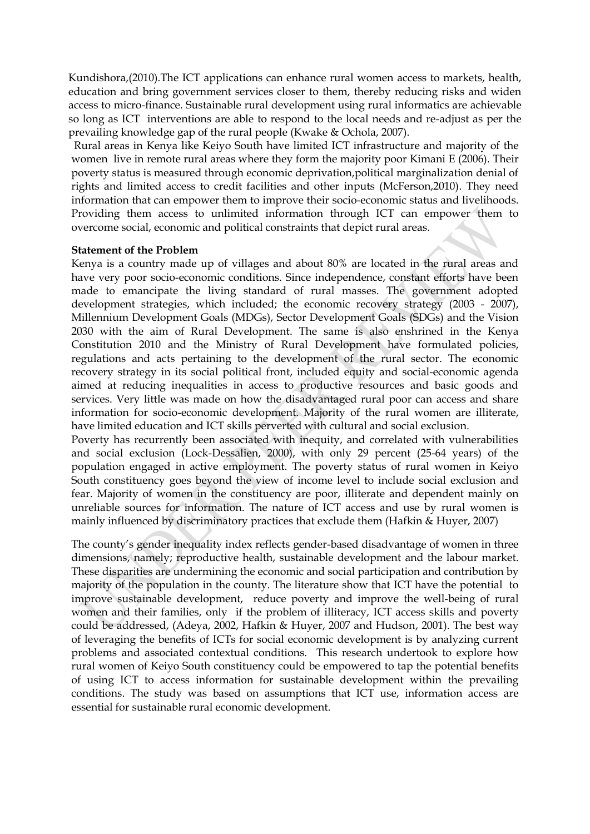Kundishora,(2010).The ICT applications can enhance rural women access to markets, health, education and bring government services closer to them, thereby reducing risks and widen access to micro-finance. Sustainable rural development using rural informatics are achievable so long as ICT interventions are able to respond to the local needs and re-adjust as per the prevailing knowledge gap of the rural people (Kwake & Ochola, 2007).

Rural areas in Kenya like Keiyo South have limited ICT infrastructure and majority of the women live in remote rural areas where they form the majority poor Kimani E (2006). Their poverty status is measured through economic deprivation,political marginalization denial of rights and limited access to credit facilities and other inputs (McFerson,2010). They need information that can empower them to improve their socio-economic status and livelihoods. Providing them access to unlimited information through ICT can empower them to overcome social, economic and political constraints that depict rural areas.

#### **Statement of the Problem**

Kenya is a country made up of villages and about 80% are located in the rural areas and have very poor socio-economic conditions. Since independence, constant efforts have been made to emancipate the living standard of rural masses. The government adopted development strategies, which included; the economic recovery strategy (2003 - 2007), Millennium Development Goals (MDGs), Sector Development Goals (SDGs) and the Vision 2030 with the aim of Rural Development. The same is also enshrined in the Kenya Constitution 2010 and the Ministry of Rural Development have formulated policies, regulations and acts pertaining to the development of the rural sector. The economic recovery strategy in its social political front, included equity and social-economic agenda aimed at reducing inequalities in access to productive resources and basic goods and services. Very little was made on how the disadvantaged rural poor can access and share information for socio-economic development. Majority of the rural women are illiterate, have limited education and ICT skills perverted with cultural and social exclusion.

Poverty has recurrently been associated with inequity, and correlated with vulnerabilities and social exclusion (Lock-Dessalien, 2000), with only 29 percent (25-64 years) of the population engaged in active employment. The poverty status of rural women in Keiyo South constituency goes beyond the view of income level to include social exclusion and fear. Majority of women in the constituency are poor, illiterate and dependent mainly on unreliable sources for information. The nature of ICT access and use by rural women is mainly influenced by discriminatory practices that exclude them (Hafkin & Huyer, 2007)

The county's gender inequality index reflects gender-based disadvantage of women in three dimensions, namely; reproductive health, sustainable development and the labour market. These disparities are undermining the economic and social participation and contribution by majority of the population in the county. The literature show that ICT have the potential to improve sustainable development, reduce poverty and improve the well-being of rural women and their families, only if the problem of illiteracy, ICT access skills and poverty could be addressed, (Adeya, 2002, Hafkin & Huyer, 2007 and Hudson, 2001). The best way of leveraging the benefits of ICTs for social economic development is by analyzing current problems and associated contextual conditions. This research undertook to explore how rural women of Keiyo South constituency could be empowered to tap the potential benefits of using ICT to access information for sustainable development within the prevailing conditions. The study was based on assumptions that ICT use, information access are essential for sustainable rural economic development.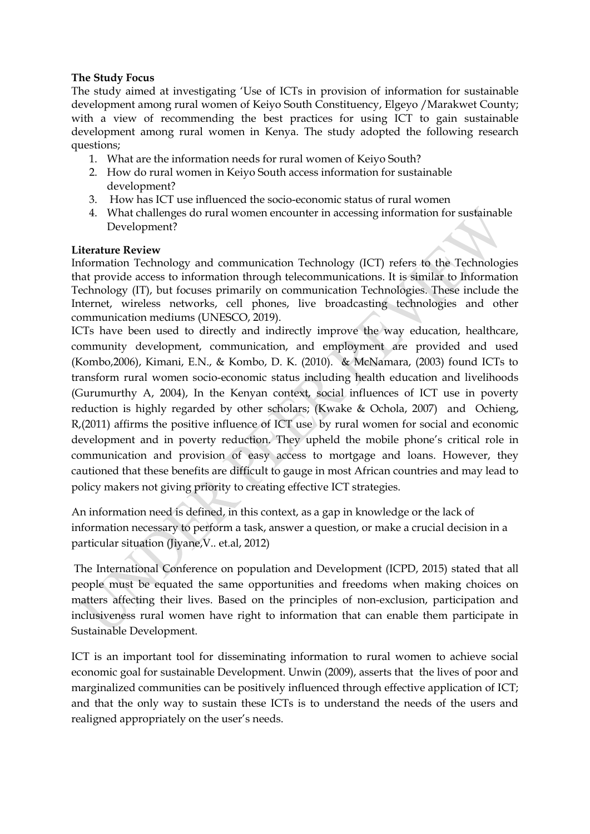# **The Study Focus**

The study aimed at investigating 'Use of ICTs in provision of information for sustainable development among rural women of Keiyo South Constituency, Elgeyo /Marakwet County; with a view of recommending the best practices for using ICT to gain sustainable development among rural women in Kenya. The study adopted the following research questions;

- 1. What are the information needs for rural women of Keiyo South?
- 2. How do rural women in Keiyo South access information for sustainable development?
- 3. How has ICT use influenced the socio-economic status of rural women
- 4. What challenges do rural women encounter in accessing information for sustainable Development?

# **Literature Review**

Information Technology and communication Technology (ICT) refers to the Technologies that provide access to information through telecommunications. It is similar to Information Technology (IT), but focuses primarily on communication Technologies. These include the Internet, wireless networks, cell phones, live broadcasting technologies and other communication mediums (UNESCO, 2019).

ICTs have been used to directly and indirectly improve the way education, healthcare, community development, communication, and employment are provided and used (Kombo,2006), Kimani, E.N., & Kombo, D. K. (2010). & McNamara, (2003) found ICTs to transform rural women socio-economic status including health education and livelihoods (Gurumurthy A, 2004), In the Kenyan context, social influences of ICT use in poverty reduction is highly regarded by other scholars; (Kwake & Ochola, 2007) and Ochieng, R,(2011) affirms the positive influence of ICT use by rural women for social and economic development and in poverty reduction. They upheld the mobile phone's critical role in communication and provision of easy access to mortgage and loans. However, they cautioned that these benefits are difficult to gauge in most African countries and may lead to policy makers not giving priority to creating effective ICT strategies.

An information need is defined, in this context, as a gap in knowledge or the lack of information necessary to perform a task, answer a question, or make a crucial decision in a particular situation (Jiyane,V.. et.al, 2012)

The International Conference on population and Development (ICPD, 2015) stated that all people must be equated the same opportunities and freedoms when making choices on matters affecting their lives. Based on the principles of non-exclusion, participation and inclusiveness rural women have right to information that can enable them participate in Sustainable Development.

ICT is an important tool for disseminating information to rural women to achieve social economic goal for sustainable Development. Unwin (2009), asserts that the lives of poor and marginalized communities can be positively influenced through effective application of ICT; and that the only way to sustain these ICTs is to understand the needs of the users and realigned appropriately on the user's needs.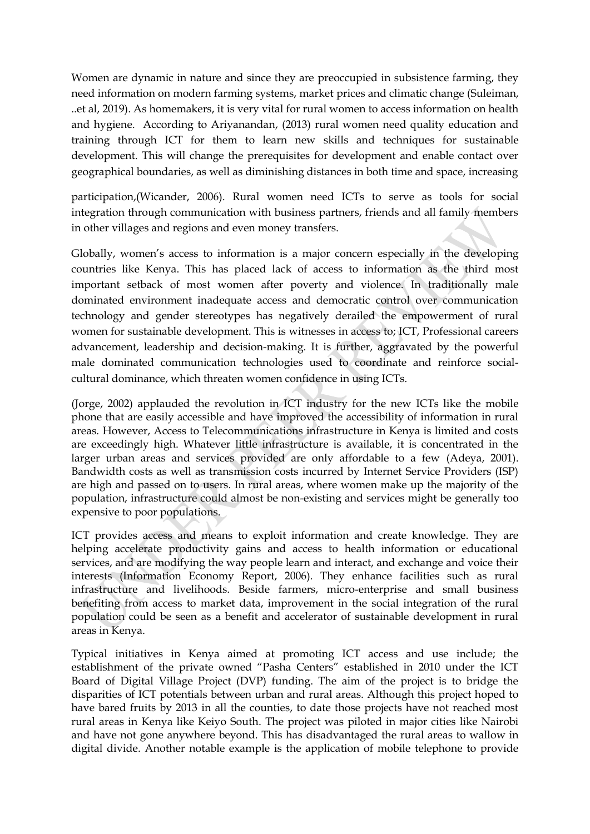Women are dynamic in nature and since they are preoccupied in subsistence farming, they need information on modern farming systems, market prices and climatic change (Suleiman, ..et al, 2019). As homemakers, it is very vital for rural women to access information on health and hygiene. According to Ariyanandan, (2013) rural women need quality education and training through ICT for them to learn new skills and techniques for sustainable development. This will change the prerequisites for development and enable contact over geographical boundaries, as well as diminishing distances in both time and space, increasing

participation,(Wicander, 2006). Rural women need ICTs to serve as tools for social integration through communication with business partners, friends and all family members in other villages and regions and even money transfers.

Globally, women's access to information is a major concern especially in the developing countries like Kenya. This has placed lack of access to information as the third most important setback of most women after poverty and violence. In traditionally male dominated environment inadequate access and democratic control over communication technology and gender stereotypes has negatively derailed the empowerment of rural women for sustainable development. This is witnesses in access to; ICT, Professional careers advancement, leadership and decision-making. It is further, aggravated by the powerful male dominated communication technologies used to coordinate and reinforce socialcultural dominance, which threaten women confidence in using ICTs.

(Jorge, 2002) applauded the revolution in ICT industry for the new ICTs like the mobile phone that are easily accessible and have improved the accessibility of information in rural areas. However, Access to Telecommunications infrastructure in Kenya is limited and costs are exceedingly high. Whatever little infrastructure is available, it is concentrated in the larger urban areas and services provided are only affordable to a few (Adeya, 2001). Bandwidth costs as well as transmission costs incurred by Internet Service Providers (ISP) are high and passed on to users. In rural areas, where women make up the majority of the population, infrastructure could almost be non-existing and services might be generally too expensive to poor populations.

ICT provides access and means to exploit information and create knowledge. They are helping accelerate productivity gains and access to health information or educational services, and are modifying the way people learn and interact, and exchange and voice their interests (Information Economy Report, 2006). They enhance facilities such as rural infrastructure and livelihoods. Beside farmers, micro-enterprise and small business benefiting from access to market data, improvement in the social integration of the rural population could be seen as a benefit and accelerator of sustainable development in rural areas in Kenya.

Typical initiatives in Kenya aimed at promoting ICT access and use include; the establishment of the private owned "Pasha Centers" established in 2010 under the ICT Board of Digital Village Project (DVP) funding. The aim of the project is to bridge the disparities of ICT potentials between urban and rural areas. Although this project hoped to have bared fruits by 2013 in all the counties, to date those projects have not reached most rural areas in Kenya like Keiyo South. The project was piloted in major cities like Nairobi and have not gone anywhere beyond. This has disadvantaged the rural areas to wallow in digital divide. Another notable example is the application of mobile telephone to provide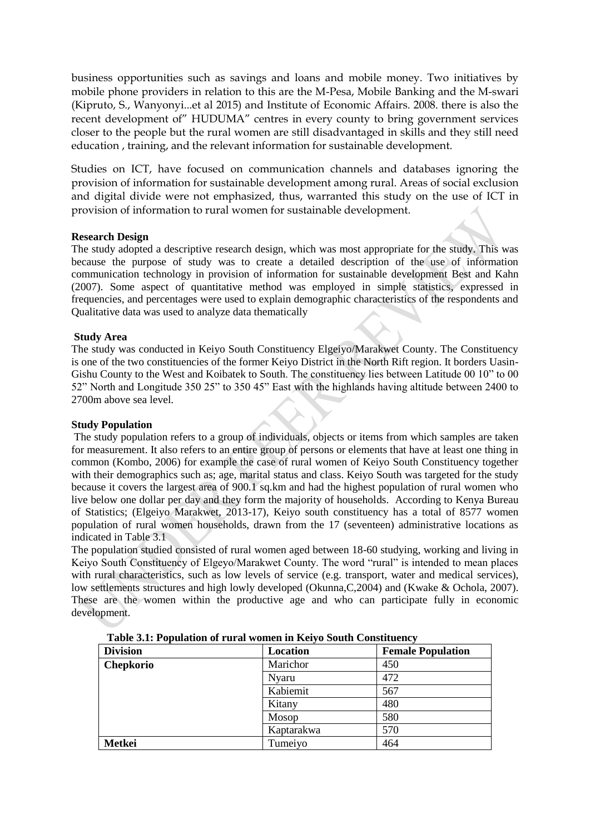business opportunities such as savings and loans and mobile money. Two initiatives by mobile phone providers in relation to this are the M-Pesa, Mobile Banking and the M-swari (Kipruto, S., Wanyonyi...et al 2015) and Institute of Economic Affairs. 2008. there is also the recent development of" HUDUMA" centres in every county to bring government services closer to the people but the rural women are still disadvantaged in skills and they still need education , training, and the relevant information for sustainable development.

Studies on ICT, have focused on communication channels and databases ignoring the provision of information for sustainable development among rural. Areas of social exclusion and digital divide were not emphasized, thus, warranted this study on the use of ICT in provision of information to rural women for sustainable development.

# **Research Design**

The study adopted a descriptive research design, which was most appropriate for the study. This was because the purpose of study was to create a detailed description of the use of information communication technology in provision of information for sustainable development Best and Kahn (2007). Some aspect of quantitative method was employed in simple statistics, expressed in frequencies, and percentages were used to explain demographic characteristics of the respondents and Qualitative data was used to analyze data thematically

# **Study Area**

The study was conducted in Keiyo South Constituency Elgeiyo/Marakwet County. The Constituency is one of the two constituencies of the former Keiyo District in the North Rift region. It borders Uasin-Gishu County to the West and Koibatek to South. The constituency lies between Latitude 00 10" to 00 52" North and Longitude 350 25" to 350 45" East with the highlands having altitude between 2400 to 2700m above sea level.

# **Study Population**

The study population refers to a group of individuals, objects or items from which samples are taken for measurement. It also refers to an entire group of persons or elements that have at least one thing in common (Kombo, 2006) for example the case of rural women of Keiyo South Constituency together with their demographics such as; age, marital status and class. Keiyo South was targeted for the study because it covers the largest area of 900.1 sq.km and had the highest population of rural women who live below one dollar per day and they form the majority of households. According to Kenya Bureau of Statistics; (Elgeiyo Marakwet, 2013-17), Keiyo south constituency has a total of 8577 women population of rural women households, drawn from the 17 (seventeen) administrative locations as indicated in Table 3.1

The population studied consisted of rural women aged between 18-60 studying, working and living in Keiyo South Constituency of Elgeyo/Marakwet County. The word "rural" is intended to mean places with rural characteristics, such as low levels of service (e.g. transport, water and medical services), low settlements structures and high lowly developed (Okunna, C, 2004) and (Kwake & Ochola, 2007). These are the women within the productive age and who can participate fully in economic development.

| <b>Division</b>  | Location     | <b>Female Population</b> |
|------------------|--------------|--------------------------|
| <b>Chepkorio</b> | Marichor     | 450                      |
|                  | <b>Nyaru</b> | 472                      |
|                  | Kabiemit     | 567                      |
|                  | Kitany       | 480                      |
|                  | Mosop        | 580                      |
|                  | Kaptarakwa   | 570                      |
| Metkei           | Tumeiyo      | 464                      |

**Table 3.1: Population of rural women in Keiyo South Constituency**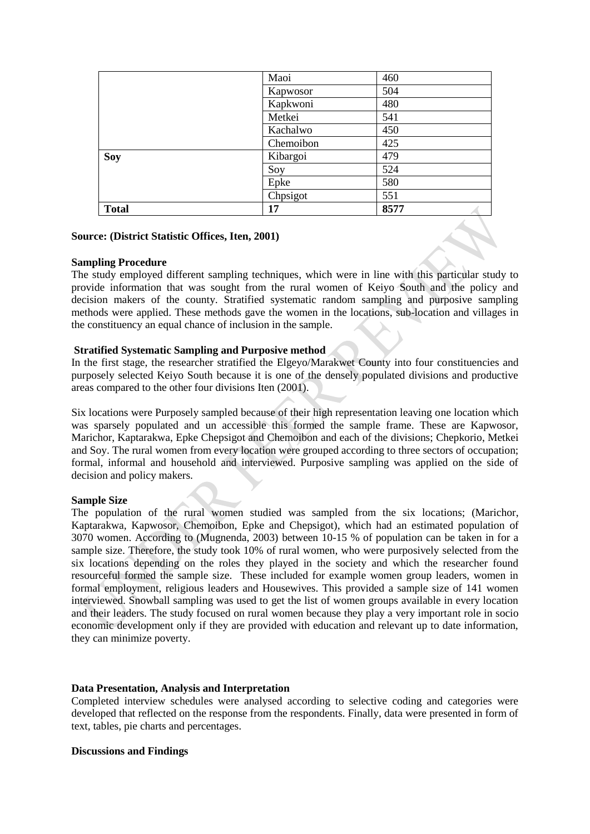|              | Maoi      | 460  |
|--------------|-----------|------|
|              | Kapwosor  | 504  |
|              | Kapkwoni  | 480  |
|              | Metkei    | 541  |
|              | Kachalwo  | 450  |
|              | Chemoibon | 425  |
| <b>Soy</b>   | Kibargoi  | 479  |
|              | Soy       | 524  |
|              | Epke      | 580  |
|              | Chpsigot  | 551  |
| <b>Total</b> | 17        | 8577 |

#### **Source: (District Statistic Offices, Iten, 2001)**

#### **Sampling Procedure**

The study employed different sampling techniques, which were in line with this particular study to provide information that was sought from the rural women of Keiyo South and the policy and decision makers of the county. Stratified systematic random sampling and purposive sampling methods were applied. These methods gave the women in the locations, sub-location and villages in the constituency an equal chance of inclusion in the sample.

#### **Stratified Systematic Sampling and Purposive method**

In the first stage, the researcher stratified the Elgeyo/Marakwet County into four constituencies and purposely selected Keiyo South because it is one of the densely populated divisions and productive areas compared to the other four divisions Iten (2001).

Six locations were Purposely sampled because of their high representation leaving one location which was sparsely populated and un accessible this formed the sample frame. These are Kapwosor, Marichor, Kaptarakwa, Epke Chepsigot and Chemoibon and each of the divisions; Chepkorio, Metkei and Soy. The rural women from every location were grouped according to three sectors of occupation; formal, informal and household and interviewed. Purposive sampling was applied on the side of decision and policy makers.

# **Sample Size**

The population of the rural women studied was sampled from the six locations; (Marichor, Kaptarakwa, Kapwosor, Chemoibon, Epke and Chepsigot), which had an estimated population of 3070 women. According to (Mugnenda, 2003) between 10-15 % of population can be taken in for a sample size. Therefore, the study took 10% of rural women, who were purposively selected from the six locations depending on the roles they played in the society and which the researcher found resourceful formed the sample size. These included for example women group leaders, women in formal employment, religious leaders and Housewives. This provided a sample size of 141 women interviewed. Snowball sampling was used to get the list of women groups available in every location and their leaders. The study focused on rural women because they play a very important role in socio economic development only if they are provided with education and relevant up to date information, they can minimize poverty.

# **Data Presentation, Analysis and Interpretation**

Completed interview schedules were analysed according to selective coding and categories were developed that reflected on the response from the respondents. Finally, data were presented in form of text, tables, pie charts and percentages.

#### **Discussions and Findings**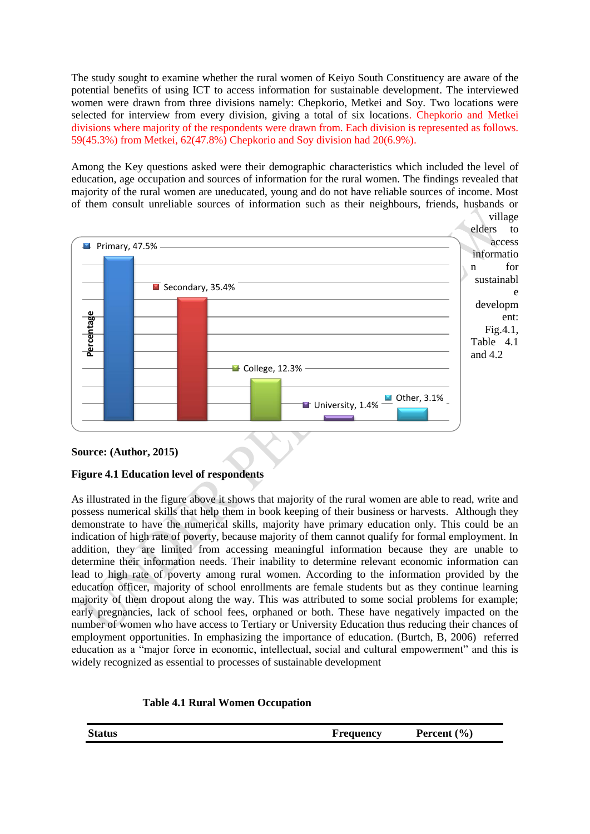The study sought to examine whether the rural women of Keiyo South Constituency are aware of the potential benefits of using ICT to access information for sustainable development. The interviewed women were drawn from three divisions namely: Chepkorio, Metkei and Soy. Two locations were selected for interview from every division, giving a total of six locations. Chepkorio and Metkei divisions where majority of the respondents were drawn from. Each division is represented as follows. 59(45.3%) from Metkei, 62(47.8%) Chepkorio and Soy division had 20(6.9%).

Among the Key questions asked were their demographic characteristics which included the level of education, age occupation and sources of information for the rural women. The findings revealed that majority of the rural women are uneducated, young and do not have reliable sources of income. Most of them consult unreliable sources of information such as their neighbours, friends, husbands or



# **Source: (Author, 2015)**

# **Figure 4.1 Education level of respondents**

As illustrated in the figure above it shows that majority of the rural women are able to read, write and possess numerical skills that help them in book keeping of their business or harvests. Although they demonstrate to have the numerical skills, majority have primary education only. This could be an indication of high rate of poverty, because majority of them cannot qualify for formal employment. In addition, they are limited from accessing meaningful information because they are unable to determine their information needs. Their inability to determine relevant economic information can lead to high rate of poverty among rural women. According to the information provided by the education officer, majority of school enrollments are female students but as they continue learning majority of them dropout along the way. This was attributed to some social problems for example; early pregnancies, lack of school fees, orphaned or both. These have negatively impacted on the number of women who have access to Tertiary or University Education thus reducing their chances of employment opportunities. In emphasizing the importance of education. (Burtch, B, 2006) referred education as a "major force in economic, intellectual, social and cultural empowerment" and this is widely recognized as essential to processes of sustainable development

| <b>Table 4.1 Rural Women Occupation</b> |  |  |
|-----------------------------------------|--|--|
|-----------------------------------------|--|--|

| <b>Status</b> | requency | (9/0)<br>Percent |
|---------------|----------|------------------|
|               |          |                  |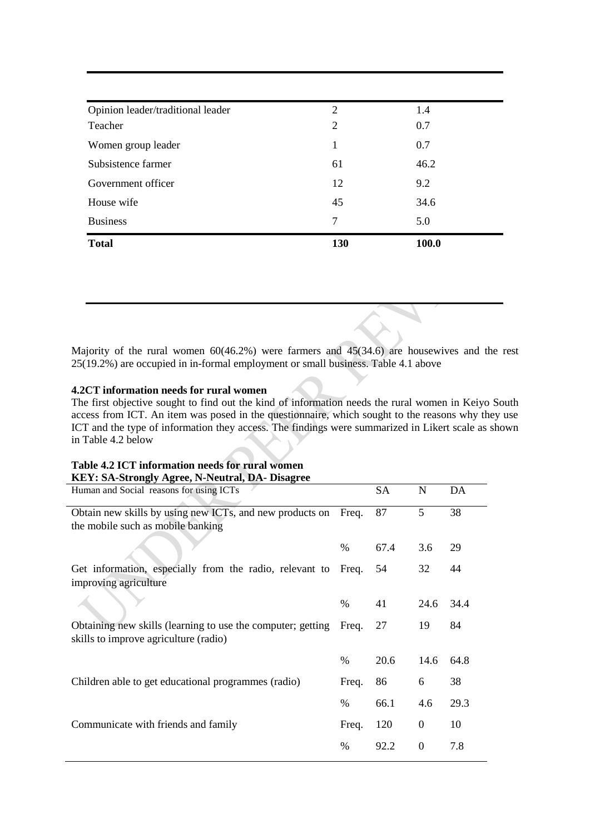| <b>Total</b>                      | 130 | 100.0 |  |
|-----------------------------------|-----|-------|--|
| <b>Business</b>                   | 7   | 5.0   |  |
| House wife                        | 45  | 34.6  |  |
| Government officer                | 12  | 9.2   |  |
| Subsistence farmer                | 61  | 46.2  |  |
| Women group leader                | 1   | 0.7   |  |
| Teacher                           | 2   | 0.7   |  |
| Opinion leader/traditional leader | 2   | 1.4   |  |

Majority of the rural women 60(46.2%) were farmers and 45(34.6) are housewives and the rest 25(19.2%) are occupied in in-formal employment or small business. Table 4.1 above

# **4.2CT information needs for rural women**

The first objective sought to find out the kind of information needs the rural women in Keiyo South access from ICT. An item was posed in the questionnaire, which sought to the reasons why they use ICT and the type of information they access. The findings were summarized in Likert scale as shown in Table 4.2 below

# **Table 4.2 ICT information needs for rural women KEY: SA-Strongly Agree, N-Neutral, DA- Disagree**

| Human and Social reasons for using ICTs                                                              |       | SA   | N                | DA   |
|------------------------------------------------------------------------------------------------------|-------|------|------------------|------|
| Obtain new skills by using new ICTs, and new products on                                             | Freq. | 87   | 5                | 38   |
| the mobile such as mobile banking                                                                    |       |      |                  |      |
|                                                                                                      | $\%$  | 67.4 | 3.6              | 29   |
| Get information, especially from the radio, relevant to<br>improving agriculture                     | Freq. | 54   | 32               | 44   |
|                                                                                                      |       |      |                  |      |
|                                                                                                      | $\%$  | 41   | 24.6             | 34.4 |
| Obtaining new skills (learning to use the computer; getting<br>skills to improve agriculture (radio) | Freq. | 27   | 19               | 84   |
|                                                                                                      | $\%$  | 20.6 | 14.6             | 64.8 |
| Children able to get educational programmes (radio)                                                  | Freq. | 86   | 6                | 38   |
|                                                                                                      | $\%$  | 66.1 | 4.6              | 29.3 |
| Communicate with friends and family                                                                  | Freq. | 120  | 0                | 10   |
|                                                                                                      | $\%$  | 92.2 | $\boldsymbol{0}$ | 7.8  |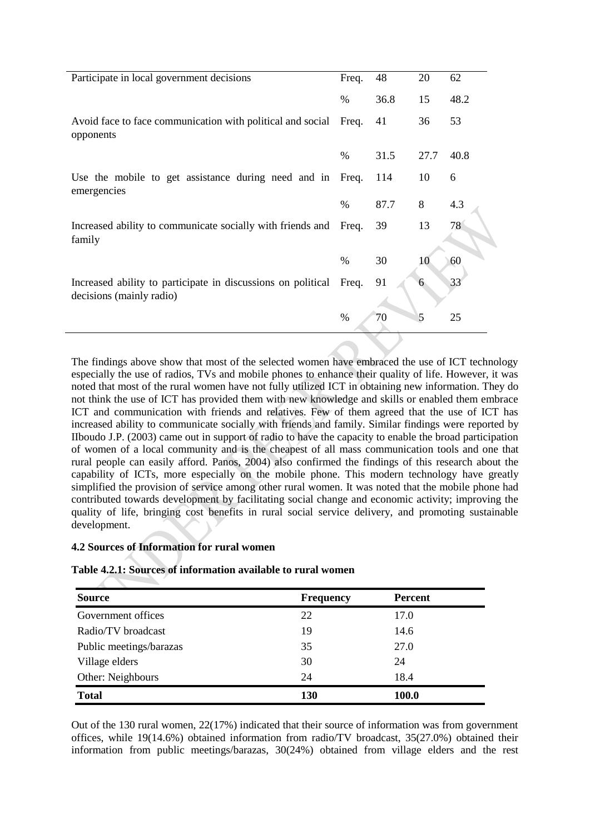| Participate in local government decisions                                                | Freq.         | 48   | 20   | 62   |
|------------------------------------------------------------------------------------------|---------------|------|------|------|
|                                                                                          | $\frac{0}{0}$ | 36.8 | 15   | 48.2 |
| Avoid face to face communication with political and social<br>opponents                  | Freq.         | 41   | 36   | 53   |
|                                                                                          | $\%$          | 31.5 | 27.7 | 40.8 |
| Use the mobile to get assistance during need and in Freq.<br>emergencies                 |               | 114  | 10   | 6    |
|                                                                                          | $\%$          | 87.7 | 8    | 4.3  |
| Increased ability to communicate socially with friends and<br>family                     | Freq.         | 39   | 13   | 78   |
|                                                                                          | $\%$          | 30   | 10   | 60   |
| Increased ability to participate in discussions on political<br>decisions (mainly radio) | Freq.         | 91   | 6    | 33   |
|                                                                                          | $\%$          | 70   | 5    | 25   |

The findings above show that most of the selected women have embraced the use of ICT technology especially the use of radios, TVs and mobile phones to enhance their quality of life. However, it was noted that most of the rural women have not fully utilized ICT in obtaining new information. They do not think the use of ICT has provided them with new knowledge and skills or enabled them embrace ICT and communication with friends and relatives. Few of them agreed that the use of ICT has increased ability to communicate socially with friends and family. Similar findings were reported by IIboudo J.P. (2003) came out in support of radio to have the capacity to enable the broad participation of women of a local community and is the cheapest of all mass communication tools and one that rural people can easily afford. Panos, 2004) also confirmed the findings of this research about the capability of ICTs, more especially on the mobile phone. This modern technology have greatly simplified the provision of service among other rural women. It was noted that the mobile phone had contributed towards development by facilitating social change and economic activity; improving the quality of life, bringing cost benefits in rural social service delivery, and promoting sustainable development.

# **4.2 Sources of Information for rural women**

# **Table 4.2.1: Sources of information available to rural women**

| <b>Source</b>           | <b>Frequency</b> | <b>Percent</b> |
|-------------------------|------------------|----------------|
| Government offices      | 22               | 17.0           |
| Radio/TV broadcast      | 19               | 14.6           |
| Public meetings/barazas | 35               | 27.0           |
| Village elders          | 30               | 24             |
| Other: Neighbours       | 24               | 18.4           |
| <b>Total</b>            | 130              | 100.0          |

Out of the 130 rural women, 22(17%) indicated that their source of information was from government offices, while 19(14.6%) obtained information from radio/TV broadcast, 35(27.0%) obtained their information from public meetings/barazas, 30(24%) obtained from village elders and the rest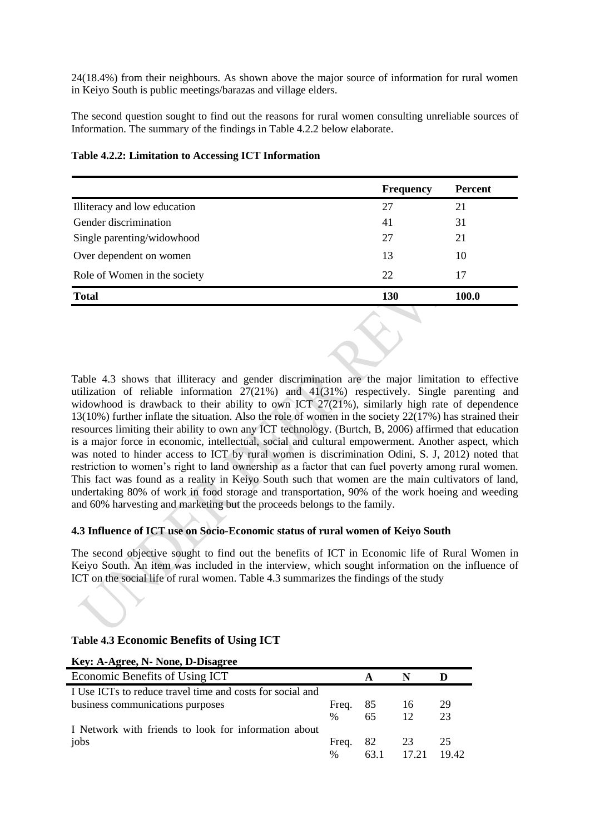24(18.4%) from their neighbours. As shown above the major source of information for rural women in Keiyo South is public meetings/barazas and village elders.

The second question sought to find out the reasons for rural women consulting unreliable sources of Information. The summary of the findings in Table 4.2.2 below elaborate.

|                              | <b>Frequency</b> | <b>Percent</b> |
|------------------------------|------------------|----------------|
| Illiteracy and low education | 27               | 21             |
| Gender discrimination        | 41               | 31             |
| Single parenting/widowhood   | 27               | 21             |
| Over dependent on women      | 13               | 10             |
| Role of Women in the society | 22               | 17             |
| <b>Total</b>                 | 130              | <b>100.0</b>   |
|                              | and the control  |                |

# **Table 4.2.2: Limitation to Accessing ICT Information**

Table 4.3 shows that illiteracy and gender discrimination are the major limitation to effective utilization of reliable information 27(21%) and 41(31%) respectively. Single parenting and widowhood is drawback to their ability to own ICT 27(21%), similarly high rate of dependence 13(10%) further inflate the situation. Also the role of women in the society 22(17%) has strained their resources limiting their ability to own any ICT technology. (Burtch, B, 2006) affirmed that education is a major force in economic, intellectual, social and cultural empowerment. Another aspect, which was noted to hinder access to ICT by rural women is discrimination Odini, S. J, 2012) noted that restriction to women's right to land ownership as a factor that can fuel poverty among rural women. This fact was found as a reality in Keiyo South such that women are the main cultivators of land, undertaking 80% of work in food storage and transportation, 90% of the work hoeing and weeding and 60% harvesting and marketing but the proceeds belongs to the family.

# **4.3 Influence of ICT use on Socio-Economic status of rural women of Keiyo South**

The second objective sought to find out the benefits of ICT in Economic life of Rural Women in Keiyo South. An item was included in the interview, which sought information on the influence of ICT on the social life of rural women. Table 4.3 summarizes the findings of the study

# **Table 4.3 Economic Benefits of Using ICT**

# **Key: A-Agree, N- None, D-Disagree**

| Economic Benefits of Using ICT                            |       |               |       |  |
|-----------------------------------------------------------|-------|---------------|-------|--|
| I Use ICTs to reduce travel time and costs for social and |       |               |       |  |
| business communications purposes                          | Freq. | 85 16         | -29   |  |
|                                                           | $\%$  | 65 12         | 23    |  |
| I Network with friends to look for information about      |       |               |       |  |
| jobs                                                      |       | Freq. $82$ 23 | 25    |  |
|                                                           | $\%$  | 63.1 17.21    | 19.42 |  |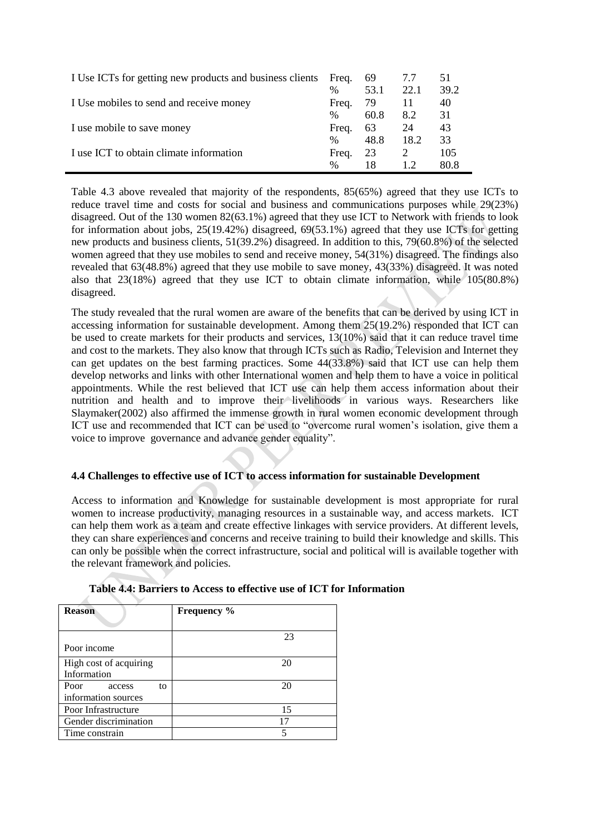| I Use ICTs for getting new products and business clients | Freq. | 69   | 7.7  | 51   |
|----------------------------------------------------------|-------|------|------|------|
|                                                          | $\%$  | 53.1 | 22.1 | 39.2 |
| I Use mobiles to send and receive money                  | Freq. | -79  | 11   | 40   |
|                                                          | $\%$  | 60.8 | 8.2  | 31   |
| I use mobile to save money                               | Freq. | 63   | 24   | 43   |
|                                                          | $\%$  | 48.8 | 18.2 | 33   |
| I use ICT to obtain climate information                  | Freq. | 23   | 2    | 105  |
|                                                          | %     | 18   |      | 80.8 |

Table 4.3 above revealed that majority of the respondents, 85(65%) agreed that they use ICTs to reduce travel time and costs for social and business and communications purposes while 29(23%) disagreed. Out of the 130 women 82(63.1%) agreed that they use ICT to Network with friends to look for information about jobs, 25(19.42%) disagreed, 69(53.1%) agreed that they use ICTs for getting new products and business clients, 51(39.2%) disagreed. In addition to this, 79(60.8%) of the selected women agreed that they use mobiles to send and receive money, 54(31%) disagreed. The findings also revealed that 63(48.8%) agreed that they use mobile to save money, 43(33%) disagreed. It was noted also that 23(18%) agreed that they use ICT to obtain climate information, while 105(80.8%) disagreed.

The study revealed that the rural women are aware of the benefits that can be derived by using ICT in accessing information for sustainable development. Among them 25(19.2%) responded that ICT can be used to create markets for their products and services, 13(10%) said that it can reduce travel time and cost to the markets. They also know that through ICTs such as Radio, Television and Internet they can get updates on the best farming practices. Some 44(33.8%) said that ICT use can help them develop networks and links with other International women and help them to have a voice in political appointments. While the rest believed that ICT use can help them access information about their nutrition and health and to improve their livelihoods in various ways. Researchers like Slaymaker(2002) also affirmed the immense growth in rural women economic development through ICT use and recommended that ICT can be used to "overcome rural women's isolation, give them a voice to improve governance and advance gender equality".

# **4.4 Challenges to effective use of ICT to access information for sustainable Development**

Access to information and Knowledge for sustainable development is most appropriate for rural women to increase productivity, managing resources in a sustainable way, and access markets. ICT can help them work as a team and create effective linkages with service providers. At different levels, they can share experiences and concerns and receive training to build their knowledge and skills. This can only be possible when the correct infrastructure, social and political will is available together with the relevant framework and policies.

| <b>Reason</b>                            | Frequency % |
|------------------------------------------|-------------|
| Poor income                              | 23          |
| High cost of acquiring<br>Information    | 20          |
| Poor access<br>to<br>information sources | 20          |
| Poor Infrastructure                      | 15          |
| Gender discrimination                    | 17          |
| Time constrain                           |             |

# **Table 4.4: Barriers to Access to effective use of ICT for Information**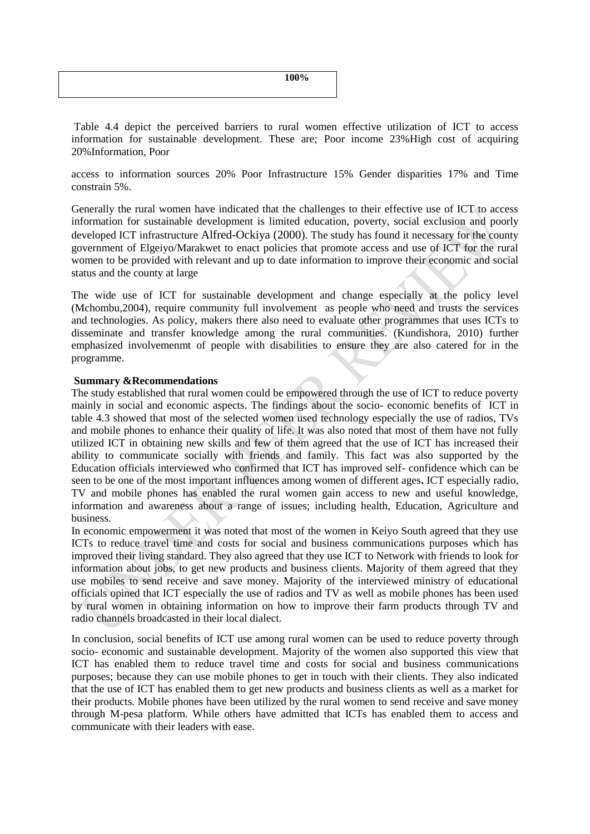**100%**

Table 4.4 depict the perceived barriers to rural women effective utilization of ICT to access information for sustainable development. These are; Poor income 23%High cost of acquiring 20%Information, Poor

access to information sources 20% Poor Infrastructure 15% Gender disparities 17% and Time constrain 5%.

Generally the rural women have indicated that the challenges to their effective use of ICT to access information for sustainable development is limited education, poverty, social exclusion and poorly developed ICT infrastructure Alfred-Ockiya (2000). The study has found it necessary for the county government of Elgeiyo/Marakwet to enact policies that promote access and use of ICT for the rural women to be provided with relevant and up to date information to improve their economic and social status and the county at large

The wide use of ICT for sustainable development and change especially at the policy level (Mchombu,2004), require community full involvement as people who need and trusts the services and technologies. As policy, makers there also need to evaluate other programmes that uses ICTs to disseminate and transfer knowledge among the rural communities. (Kundishora, 2010) further emphasized involvemenmt of people with disabilities to ensure they are also catered for in the programme.

# **Summary &Recommendations**

The study established that rural women could be empowered through the use of ICT to reduce poverty mainly in social and economic aspects. The findings about the socio- economic benefits of ICT in table 4.3 showed that most of the selected women used technology especially the use of radios, TVs and mobile phones to enhance their quality of life. It was also noted that most of them have not fully utilized ICT in obtaining new skills and few of them agreed that the use of ICT has increased their ability to communicate socially with friends and family. This fact was also supported by the Education officials interviewed who confirmed that ICT has improved self- confidence which can be seen to be one of the most important influences among women of different ages**.** ICT especially radio, TV and mobile phones has enabled the rural women gain access to new and useful knowledge, information and awareness about a range of issues; including health, Education, Agriculture and business.

In economic empowerment it was noted that most of the women in Keiyo South agreed that they use ICTs to reduce travel time and costs for social and business communications purposes which has improved their living standard. They also agreed that they use ICT to Network with friends to look for information about jobs, to get new products and business clients. Majority of them agreed that they use mobiles to send receive and save money. Majority of the interviewed ministry of educational officials opined that ICT especially the use of radios and TV as well as mobile phones has been used by rural women in obtaining information on how to improve their farm products through TV and radio channels broadcasted in their local dialect.

In conclusion, social benefits of ICT use among rural women can be used to reduce poverty through socio- economic and sustainable development. Majority of the women also supported this view that ICT has enabled them to reduce travel time and costs for social and business communications purposes; because they can use mobile phones to get in touch with their clients. They also indicated that the use of ICT has enabled them to get new products and business clients as well as a market for their products. Mobile phones have been utilized by the rural women to send receive and save money through M-pesa platform. While others have admitted that ICTs has enabled them to access and communicate with their leaders with ease.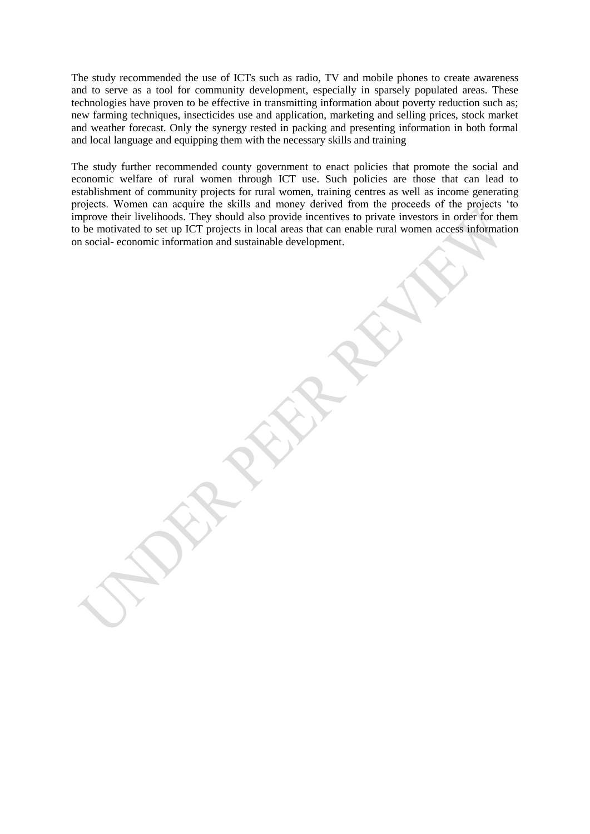The study recommended the use of ICTs such as radio, TV and mobile phones to create awareness and to serve as a tool for community development, especially in sparsely populated areas. These technologies have proven to be effective in transmitting information about poverty reduction such as; new farming techniques, insecticides use and application, marketing and selling prices, stock market and weather forecast. Only the synergy rested in packing and presenting information in both formal and local language and equipping them with the necessary skills and training

The study further recommended county government to enact policies that promote the social and economic welfare of rural women through ICT use. Such policies are those that can lead to establishment of community projects for rural women, training centres as well as income generating projects. Women can acquire the skills and money derived from the proceeds of the projects 'to improve their livelihoods. They should also provide incentives to private investors in order for them to be motivated to set up ICT projects in local areas that can enable rural women access information on social- economic information and sustainable development.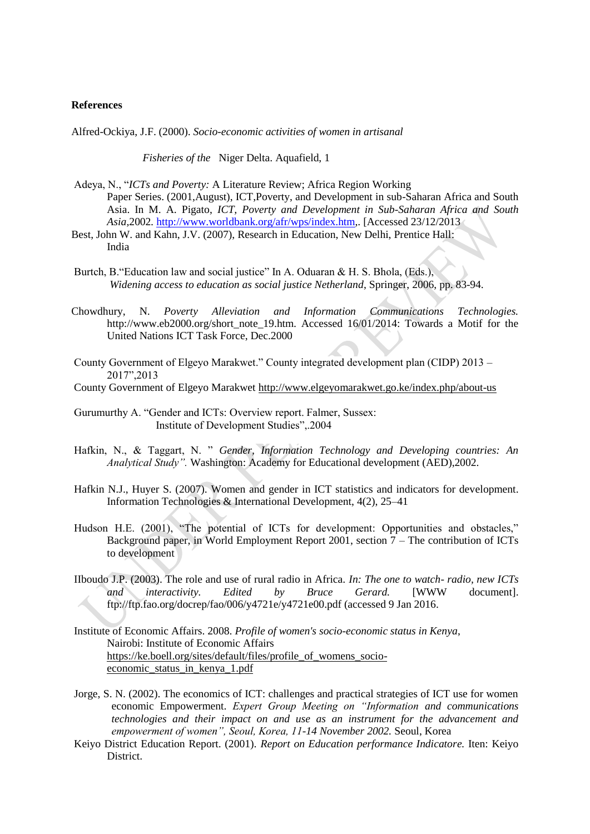#### **References**

Alfred-Ockiya, J.F. (2000). *Socio-economic activities of women in artisanal*

*Fisheries of the* Niger Delta. Aquafield, 1

- Adeya, N., "*ICTs and Poverty:* A Literature Review; Africa Region Working Paper Series. (2001,August), ICT,Poverty, and Development in sub-Saharan Africa and South Asia. In M. A. Pigato, *ICT, Poverty and Development in Sub-Saharan Africa and South Asia,*2002*.* [http://www.worldbank.org/afr/wps/index.htm,](http://www.worldbank.org/afr/wps/index.htm). [Accessed 23/12/2013
- Best, John W. and Kahn, J.V. (2007), Research in Education, New Delhi, Prentice Hall: India
- Burtch, B."Education law and social justice" In A. Oduaran & H. S. Bhola, (Eds.), *Widening access to education as social justice Netherland*, Springer, 2006, pp. 83-94.
- Chowdhury, N. *Poverty Alleviation and Information Communications Technologies.* http://www.eb2000.org/short\_note\_19.htm. Accessed 16/01/2014: Towards a Motif for the United Nations ICT Task Force, Dec.2000
- County Government of Elgeyo Marakwet." County integrated development plan (CIDP) 2013 2017",2013
- County Government of Elgeyo Marakwet<http://www.elgeyomarakwet.go.ke/index.php/about-us>
- Gurumurthy A. "Gender and ICTs: Overview report. Falmer, Sussex: Institute of Development Studies",.2004
- Hafkin, N., & Taggart, N. " *Gender, Information Technology and Developing countries: An Analytical Study".* Washington: Academy for Educational development (AED),2002.
- Hafkin N.J., Huyer S. (2007). Women and gender in ICT statistics and indicators for development. Information Technologies & International Development, 4(2), 25–41
- Hudson H.E. (2001), "The potential of ICTs for development: Opportunities and obstacles," Background paper, in World Employment Report 2001, section 7 – The contribution of ICTs to development
- IIboudo J.P. (2003). The role and use of rural radio in Africa. *In: The one to watch- radio, new ICTs and interactivity. Edited by Bruce Gerard.* [WWW document]. ftp://ftp.fao.org/docrep/fao/006/y4721e/y4721e00.pdf (accessed 9 Jan 2016.
- Institute of Economic Affairs. 2008. *Profile of women's socio-economic status in Kenya*, Nairobi: Institute of Economic Affairs [https://ke.boell.org/sites/default/files/profile\\_of\\_womens\\_socio](https://ke.boell.org/sites/default/files/profile_of_womens_socio-economic_status_in_kenya_1.pdf)[economic\\_status\\_in\\_kenya\\_1.pdf](https://ke.boell.org/sites/default/files/profile_of_womens_socio-economic_status_in_kenya_1.pdf)
- Jorge, S. N. (2002). The economics of ICT: challenges and practical strategies of ICT use for women economic Empowerment. *Expert Group Meeting on "Information and communications technologies and their impact on and use as an instrument for the advancement and empowerment of women", Seoul, Korea, 11-14 November 2002.* Seoul, Korea
- Keiyo District Education Report. (2001). *Report on Education performance Indicatore.* Iten: Keiyo District.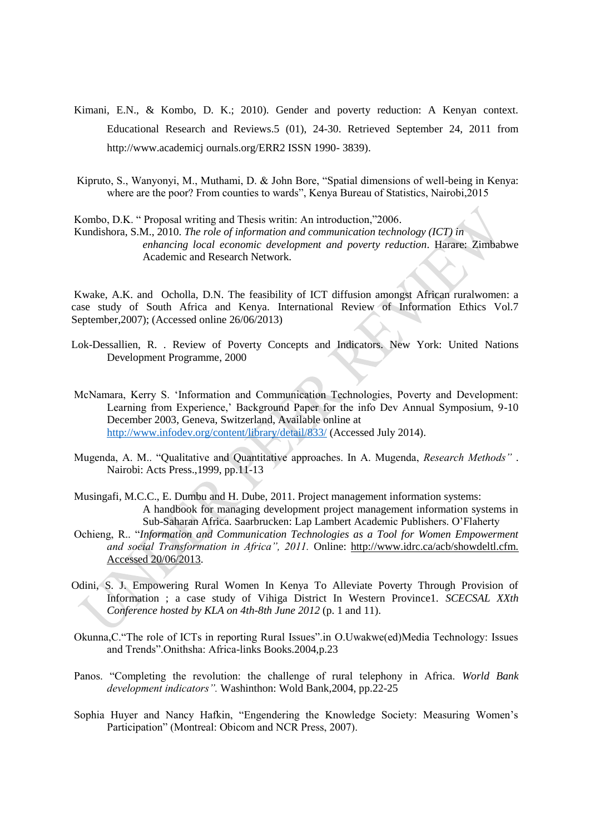- Kimani, E.N., & Kombo, D. K.; 2010). Gender and poverty reduction: A Kenyan context. Educational Research and Reviews.5 (01), 24-30. Retrieved September 24, 2011 from http://www.academicj ournals.org/ERR2 ISSN 1990- 3839).
- Kipruto, S., Wanyonyi, M., Muthami, D. & John Bore, "Spatial dimensions of well-being in Kenya: where are the poor? From counties to wards", Kenya Bureau of Statistics, Nairobi, 2015

Kombo, D.K. " Proposal writing and Thesis writin: An introduction,"2006.

Kundishora, S.M., 2010. *The role of information and communication technology (ICT) in enhancing local economic development and poverty reduction*. Harare: Zimbabwe Academic and Research Network.

Kwake, A.K. and Ocholla, D.N. The feasibility of ICT diffusion amongst African ruralwomen: a case study of South Africa and Kenya. International Review of Information Ethics Vol.7 September,2007); (Accessed online 26/06/2013)

- Lok-Dessallien, R. . Review of Poverty Concepts and Indicators. New York: United Nations Development Programme, 2000
- McNamara, Kerry S. 'Information and Communication Technologies, Poverty and Development: Learning from Experience,' Background Paper for the info Dev Annual Symposium, 9-10 December 2003, Geneva, Switzerland, Available online at <http://www.infodev.org/content/library/detail/833/> (Accessed July 2014).
- Mugenda, A. M.. "Qualitative and Quantitative approaches. In A. Mugenda, *Research Methods"* . Nairobi: Acts Press.,1999, pp.11-13
- Musingafi, M.C.C., E. Dumbu and H. Dube, 2011. Project management information systems: A handbook for managing development project management information systems in Sub-Saharan Africa. Saarbrucken: Lap Lambert Academic Publishers. O'Flaherty
- Ochieng, R.. "*Information and Communication Technologies as a Tool for Women Empowerment and social Transformation in Africa", 2011.* Online: [http://www.idrc.ca/acb/showdeltl.cfm.](http://www.idrc.ca/acb/showdeltl.cfm.%20Accessed%2020/06/2013)  [Accessed 20/06/2013.](http://www.idrc.ca/acb/showdeltl.cfm.%20Accessed%2020/06/2013)
- Odini, S. J. Empowering Rural Women In Kenya To Alleviate Poverty Through Provision of Information ; a case study of Vihiga District In Western Province1. *SCECSAL XXth Conference hosted by KLA on 4th-8th June 2012* (p. 1 and 11).
- Okunna,C."The role of ICTs in reporting Rural Issues".in O.Uwakwe(ed)Media Technology: Issues and Trends".Onithsha: Africa-links Books.2004,p.23
- Panos. "Completing the revolution: the challenge of rural telephony in Africa. *World Bank development indicators".* Washinthon: Wold Bank,2004, pp.22-25
- Sophia Huyer and Nancy Hafkin, "Engendering the Knowledge Society: Measuring Women's Participation" (Montreal: Obicom and NCR Press, 2007).